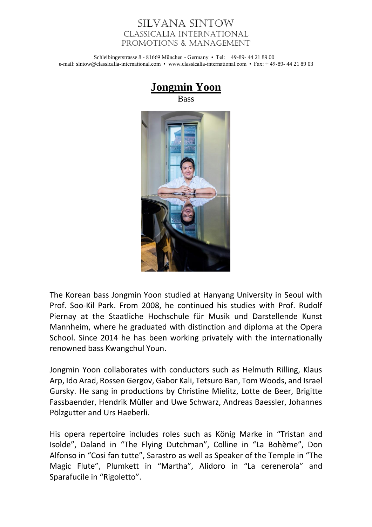## Silvana Sintow Classicalia International Promotions & Management

Schleibingerstrasse 8 - 81669 München - Germany • Tel: + 49-89- 44 21 89 00 e-mail: sintow@classicalia-international.com • www.classicalia-international.com • Fax: + 49-89- 44 21 89 03



The Korean bass Jongmin Yoon studied at Hanyang University in Seoul with Prof. Soo-Kil Park. From 2008, he continued his studies with Prof. Rudolf Piernay at the Staatliche Hochschule für Musik und Darstellende Kunst Mannheim, where he graduated with distinction and diploma at the Opera School. Since 2014 he has been working privately with the internationally renowned bass Kwangchul Youn.

Jongmin Yoon collaborates with conductors such as Helmuth Rilling, Klaus Arp, Ido Arad, Rossen Gergov, Gabor Kali, Tetsuro Ban, Tom Woods, and Israel Gursky. He sang in productions by Christine Mielitz, Lotte de Beer, Brigitte Fassbaender, Hendrik Müller and Uwe Schwarz, Andreas Baessler, Johannes Pölzgutter and Urs Haeberli.

His opera repertoire includes roles such as König Marke in "Tristan and Isolde", Daland in "The Flying Dutchman", Colline in "La Bohème", Don Alfonso in "Cosi fan tutte", Sarastro as well as Speaker of the Temple in "The Magic Flute", Plumkett in "Martha", Alidoro in "La cerenerola" and Sparafucile in "Rigoletto".